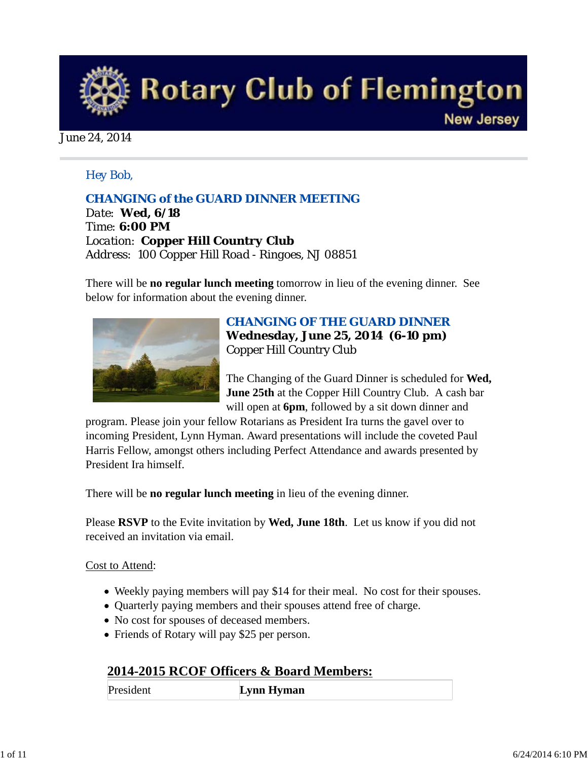

#### June 24, 2014

### *Hey Bob,*

### *CHANGING of the GUARD DINNER MEETING*

*Date: Wed, 6/18 Time: 6:00 PM Location: Copper Hill Country Club Address: 100 Copper Hill Road - Ringoes, NJ 08851* 

There will be **no regular lunch meeting** tomorrow in lieu of the evening dinner. See below for information about the evening dinner.



## *CHANGING OF THE GUARD DINNER* **Wednesday, June 25, 2014 (6-10 pm)** Copper Hill Country Club

The Changing of the Guard Dinner is scheduled for **Wed, June 25th** at the Copper Hill Country Club. A cash bar will open at **6pm**, followed by a sit down dinner and

program. Please join your fellow Rotarians as President Ira turns the gavel over to incoming President, Lynn Hyman. Award presentations will include the coveted Paul Harris Fellow, amongst others including Perfect Attendance and awards presented by President Ira himself.

There will be **no regular lunch meeting** in lieu of the evening dinner.

Please **RSVP** to the Evite invitation by **Wed, June 18th**. Let us know if you did not received an invitation via email.

### Cost to Attend:

- Weekly paying members will pay \$14 for their meal. No cost for their spouses.
- Quarterly paying members and their spouses attend free of charge.
- No cost for spouses of deceased members.
- Friends of Rotary will pay \$25 per person.

### **2014-2015 RCOF Officers & Board Members:**

President **Lynn Hyman**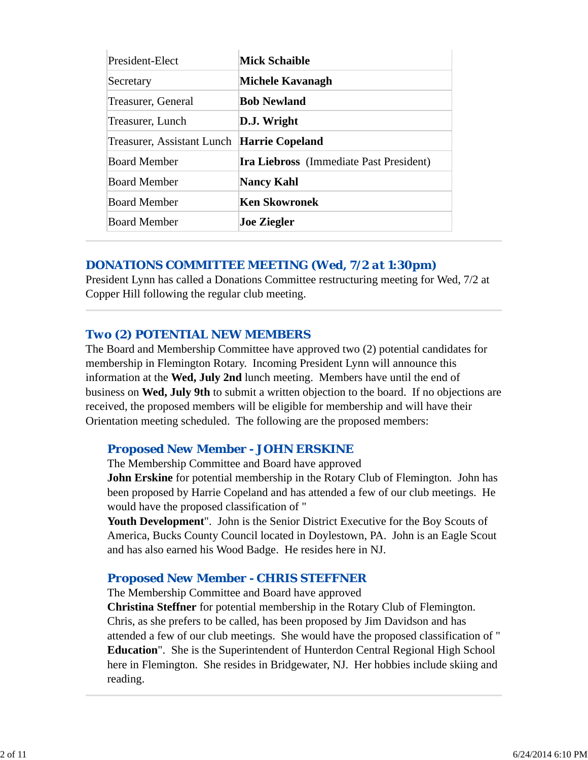| President-Elect            | <b>Mick Schaible</b>                           |  |
|----------------------------|------------------------------------------------|--|
| Secretary                  | Michele Kavanagh                               |  |
| Treasurer, General         | <b>Bob Newland</b>                             |  |
| Treasurer, Lunch           | D.J. Wright                                    |  |
| Treasurer, Assistant Lunch | Harrie Copeland                                |  |
| <b>Board Member</b>        | <b>Ira Liebross</b> (Immediate Past President) |  |
| <b>Board Member</b>        | Nancy Kahl                                     |  |
| <b>Board Member</b>        | <b>Ken Skowronek</b>                           |  |
| <b>Board Member</b>        | <b>Joe Ziegler</b>                             |  |

### *DONATIONS COMMITTEE MEETING (Wed, 7/2 at 1:30pm)*

President Lynn has called a Donations Committee restructuring meeting for Wed, 7/2 at Copper Hill following the regular club meeting.

### *Two (2) POTENTIAL NEW MEMBERS*

The Board and Membership Committee have approved two (2) potential candidates for membership in Flemington Rotary. Incoming President Lynn will announce this information at the **Wed, July 2nd** lunch meeting. Members have until the end of business on **Wed, July 9th** to submit a written objection to the board. If no objections are received, the proposed members will be eligible for membership and will have their Orientation meeting scheduled. The following are the proposed members:

### *Proposed New Member - JOHN ERSKINE*

The Membership Committee and Board have approved

**John Erskine** for potential membership in the Rotary Club of Flemington. John has been proposed by Harrie Copeland and has attended a few of our club meetings. He would have the proposed classification of "

**Youth Development**". John is the Senior District Executive for the Boy Scouts of America, Bucks County Council located in Doylestown, PA. John is an Eagle Scout and has also earned his Wood Badge. He resides here in NJ.

### *Proposed New Member - CHRIS STEFFNER*

The Membership Committee and Board have approved **Christina Steffner** for potential membership in the Rotary Club of Flemington. Chris, as she prefers to be called, has been proposed by Jim Davidson and has attended a few of our club meetings. She would have the proposed classification of " **Education**". She is the Superintendent of Hunterdon Central Regional High School here in Flemington. She resides in Bridgewater, NJ. Her hobbies include skiing and reading.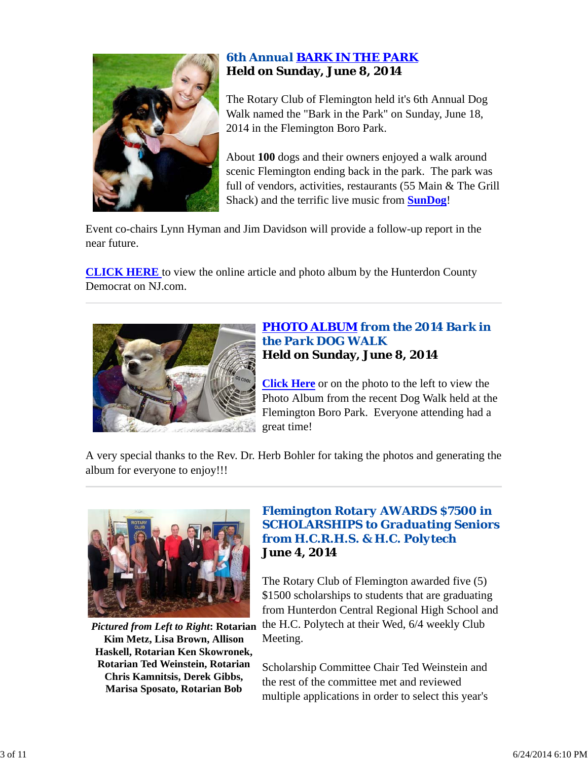

# *6th Annual BARK IN THE PARK* **Held on Sunday, June 8, 2014**

The Rotary Club of Flemington held it's 6th Annual Dog Walk named the "Bark in the Park" on Sunday, June 18, 2014 in the Flemington Boro Park.

About **100** dogs and their owners enjoyed a walk around scenic Flemington ending back in the park. The park was full of vendors, activities, restaurants (55 Main & The Grill Shack) and the terrific live music from **SunDog**!

Event co-chairs Lynn Hyman and Jim Davidson will provide a follow-up report in the near future.

**CLICK HERE** to view the online article and photo album by the Hunterdon County Democrat on NJ.com.



### *PHOTO ALBUM from the 2014 Bark in the Park DOG WALK* **Held on Sunday, June 8, 2014**

**Click Here** or on the photo to the left to view the Photo Album from the recent Dog Walk held at the Flemington Boro Park. Everyone attending had a great time!

A very special thanks to the Rev. Dr. Herb Bohler for taking the photos and generating the album for everyone to enjoy!!!



**Kim Metz, Lisa Brown, Allison Haskell, Rotarian Ken Skowronek, Rotarian Ted Weinstein, Rotarian Chris Kamnitsis, Derek Gibbs, Marisa Sposato, Rotarian Bob**

# *Flemington Rotary AWARDS \$7500 in SCHOLARSHIPS to Graduating Seniors from H.C.R.H.S. & H.C. Polytech* **June 4, 2014**

Pictured from Left to Right: Rotarian the H.C. Polytech at their Wed, 6/4 weekly Club The Rotary Club of Flemington awarded five (5) \$1500 scholarships to students that are graduating from Hunterdon Central Regional High School and Meeting.

> Scholarship Committee Chair Ted Weinstein and the rest of the committee met and reviewed multiple applications in order to select this year's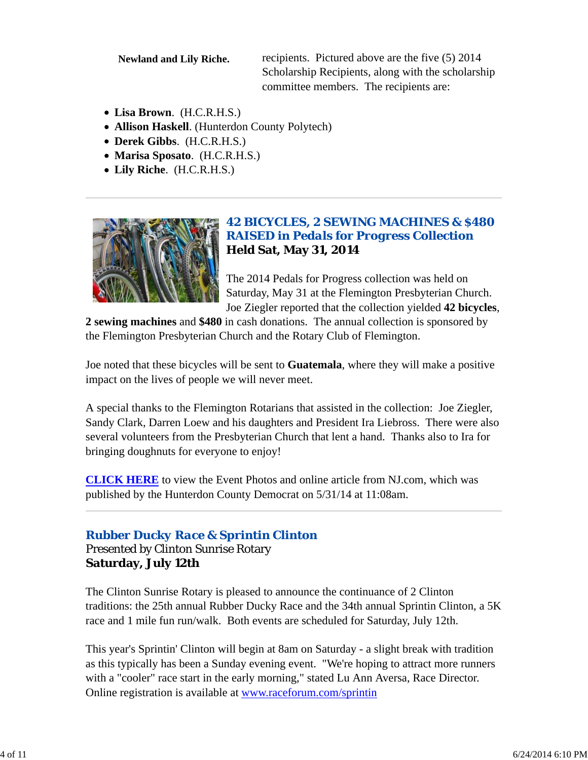**Newland and Lily Riche.** recipients. Pictured above are the five (5) 2014 Scholarship Recipients, along with the scholarship committee members. The recipients are:

- **Lisa Brown**. (H.C.R.H.S.)
- **Allison Haskell**. (Hunterdon County Polytech)
- **Derek Gibbs**. (H.C.R.H.S.)
- **Marisa Sposato**. (H.C.R.H.S.)
- **Lily Riche**. (H.C.R.H.S.)



# *42 BICYCLES, 2 SEWING MACHINES & \$480 RAISED in Pedals for Progress Collection* **Held Sat, May 31, 2014**

The 2014 Pedals for Progress collection was held on Saturday, May 31 at the Flemington Presbyterian Church. Joe Ziegler reported that the collection yielded **42 bicycles**,

**2 sewing machines** and **\$480** in cash donations. The annual collection is sponsored by the Flemington Presbyterian Church and the Rotary Club of Flemington.

Joe noted that these bicycles will be sent to **Guatemala**, where they will make a positive impact on the lives of people we will never meet.

A special thanks to the Flemington Rotarians that assisted in the collection: Joe Ziegler, Sandy Clark, Darren Loew and his daughters and President Ira Liebross. There were also several volunteers from the Presbyterian Church that lent a hand. Thanks also to Ira for bringing doughnuts for everyone to enjoy!

**CLICK HERE** to view the Event Photos and online article from NJ.com, which was published by the Hunterdon County Democrat on 5/31/14 at 11:08am.

# *Rubber Ducky Race & Sprintin Clinton*

Presented by Clinton Sunrise Rotary **Saturday, July 12th**

The Clinton Sunrise Rotary is pleased to announce the continuance of 2 Clinton traditions: the 25th annual Rubber Ducky Race and the 34th annual Sprintin Clinton, a 5K race and 1 mile fun run/walk. Both events are scheduled for Saturday, July 12th.

This year's Sprintin' Clinton will begin at 8am on Saturday - a slight break with tradition as this typically has been a Sunday evening event. "We're hoping to attract more runners with a "cooler" race start in the early morning," stated Lu Ann Aversa, Race Director. Online registration is available at www.raceforum.com/sprintin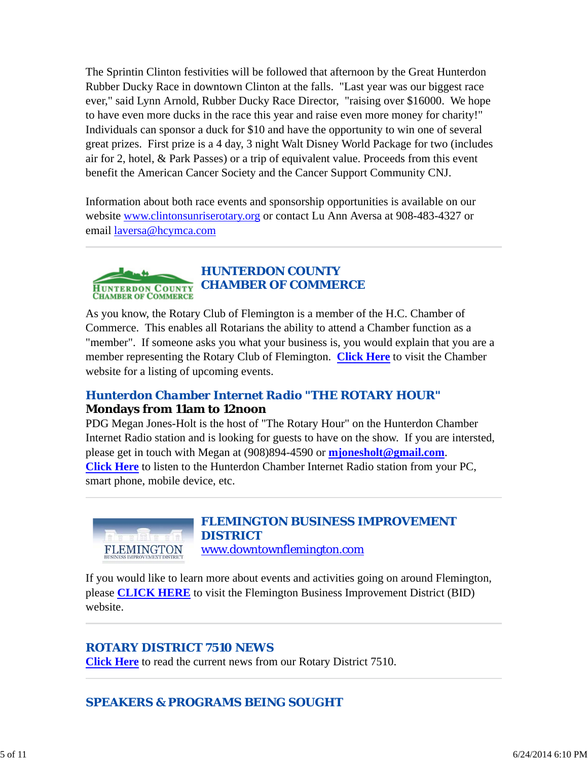The Sprintin Clinton festivities will be followed that afternoon by the Great Hunterdon Rubber Ducky Race in downtown Clinton at the falls. "Last year was our biggest race ever," said Lynn Arnold, Rubber Ducky Race Director, "raising over \$16000. We hope to have even more ducks in the race this year and raise even more money for charity!" Individuals can sponsor a duck for \$10 and have the opportunity to win one of several great prizes. First prize is a 4 day, 3 night Walt Disney World Package for two (includes air for 2, hotel, & Park Passes) or a trip of equivalent value. Proceeds from this event benefit the American Cancer Society and the Cancer Support Community CNJ.

Information about both race events and sponsorship opportunities is available on our website www.clintonsunriserotary.org or contact Lu Ann Aversa at 908-483-4327 or email laversa@hcymca.com

#### *HUNTERDON COUNTY CHAMBER OF COMMERCE* **HUNTERDON COUNTY CHAMBER OF COMMERCE**

As you know, the Rotary Club of Flemington is a member of the H.C. Chamber of Commerce. This enables all Rotarians the ability to attend a Chamber function as a "member". If someone asks you what your business is, you would explain that you are a member representing the Rotary Club of Flemington. **Click Here** to visit the Chamber website for a listing of upcoming events.

# *Hunterdon Chamber Internet Radio "THE ROTARY HOUR"* **Mondays from 11am to 12noon**

PDG Megan Jones-Holt is the host of "The Rotary Hour" on the Hunterdon Chamber Internet Radio station and is looking for guests to have on the show. If you are intersted, please get in touch with Megan at (908)894-4590 or **mjonesholt@gmail.com**. **Click Here** to listen to the Hunterdon Chamber Internet Radio station from your PC, smart phone, mobile device, etc.



*FLEMINGTON BUSINESS IMPROVEMENT DISTRICT* www.downtownflemington.com

If you would like to learn more about events and activities going on around Flemington, please **CLICK HERE** to visit the Flemington Business Improvement District (BID) website.

# *ROTARY DISTRICT 7510 NEWS*

**Click Here** to read the current news from our Rotary District 7510.

*SPEAKERS & PROGRAMS BEING SOUGHT*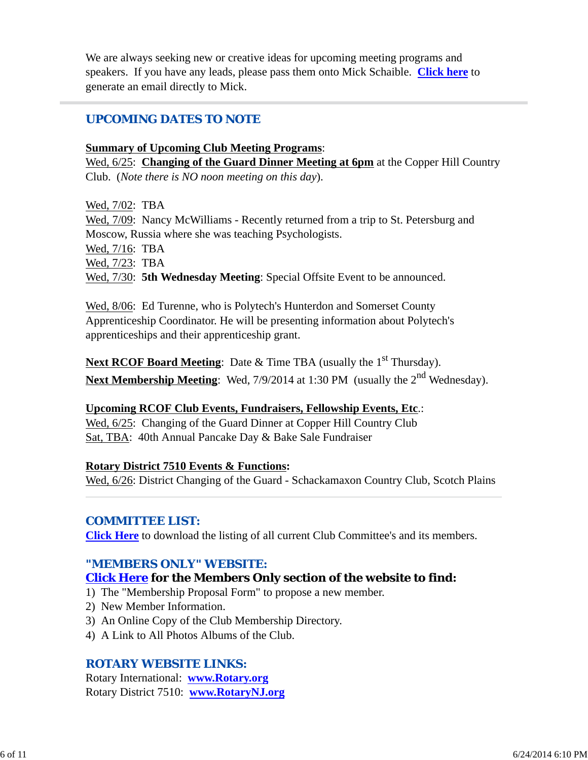We are always seeking new or creative ideas for upcoming meeting programs and speakers. If you have any leads, please pass them onto Mick Schaible. **Click here** to generate an email directly to Mick.

# *UPCOMING DATES TO NOTE*

#### **Summary of Upcoming Club Meeting Programs**:

Wed, 6/25: **Changing of the Guard Dinner Meeting at 6pm** at the Copper Hill Country Club. (*Note there is NO noon meeting on this day*).

Wed, 7/02: TBA Wed,  $7/09$ : Nancy McWilliams - Recently returned from a trip to St. Petersburg and Moscow, Russia where she was teaching Psychologists. Wed, 7/16: TBA Wed, 7/23: TBA Wed, 7/30: **5th Wednesday Meeting**: Special Offsite Event to be announced.

Wed, 8/06: Ed Turenne, who is Polytech's Hunterdon and Somerset County Apprenticeship Coordinator. He will be presenting information about Polytech's apprenticeships and their apprenticeship grant.

**Next RCOF Board Meeting:** Date & Time TBA (usually the 1<sup>st</sup> Thursday). **Next Membership Meeting:** Wed, 7/9/2014 at 1:30 PM (usually the 2<sup>nd</sup> Wednesday).

### **Upcoming RCOF Club Events, Fundraisers, Fellowship Events, Etc**.:

Wed, 6/25: Changing of the Guard Dinner at Copper Hill Country Club Sat, TBA: 40th Annual Pancake Day & Bake Sale Fundraiser

### **Rotary District 7510 Events & Functions:**

Wed, 6/26: District Changing of the Guard - Schackamaxon Country Club, Scotch Plains

### *COMMITTEE LIST:*

**Click Here** to download the listing of all current Club Committee's and its members.

# *"MEMBERS ONLY" WEBSITE:*

### **Click Here for the Members Only section of the website to find:**

- 1) The "Membership Proposal Form" to propose a new member.
- 2) New Member Information.
- 3) An Online Copy of the Club Membership Directory.
- 4) A Link to All Photos Albums of the Club.

### *ROTARY WEBSITE LINKS:*

Rotary International: **www.Rotary.org** Rotary District 7510: **www.RotaryNJ.org**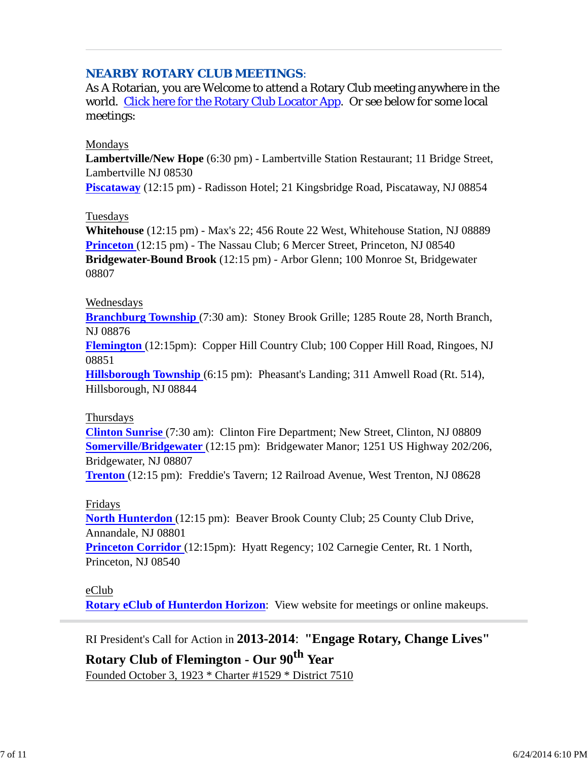# *NEARBY ROTARY CLUB MEETINGS:*

As A Rotarian, you are Welcome to attend a Rotary Club meeting anywhere in the world. Click here for the Rotary Club Locator App. Or see below for some local meetings:

#### Mondays

**Lambertville/New Hope** (6:30 pm) - Lambertville Station Restaurant; 11 Bridge Street, Lambertville NJ 08530

**Piscataway** (12:15 pm) - Radisson Hotel; 21 Kingsbridge Road, Piscataway, NJ 08854

#### Tuesdays

**Whitehouse** (12:15 pm) - Max's 22; 456 Route 22 West, Whitehouse Station, NJ 08889 **Princeton** (12:15 pm) - The Nassau Club; 6 Mercer Street, Princeton, NJ 08540 **Bridgewater-Bound Brook** (12:15 pm) - Arbor Glenn; 100 Monroe St, Bridgewater 08807

### Wednesdays

**Branchburg Township** (7:30 am): Stoney Brook Grille; 1285 Route 28, North Branch, NJ 08876

**Flemington** (12:15pm): Copper Hill Country Club; 100 Copper Hill Road, Ringoes, NJ 08851

**Hillsborough Township** (6:15 pm): Pheasant's Landing; 311 Amwell Road (Rt. 514), Hillsborough, NJ 08844

#### Thursdays

**Clinton Sunrise** (7:30 am): Clinton Fire Department; New Street, Clinton, NJ 08809 **Somerville/Bridgewater** (12:15 pm): Bridgewater Manor; 1251 US Highway 202/206, Bridgewater, NJ 08807

**Trenton** (12:15 pm): Freddie's Tavern; 12 Railroad Avenue, West Trenton, NJ 08628

### Fridays

**North Hunterdon** (12:15 pm): Beaver Brook County Club; 25 County Club Drive, Annandale, NJ 08801

**Princeton Corridor** (12:15pm): Hyatt Regency; 102 Carnegie Center, Rt. 1 North, Princeton, NJ 08540

### eClub

**Rotary eClub of Hunterdon Horizon**: View website for meetings or online makeups.

RI President's Call for Action in **2013-2014**: **"Engage Rotary, Change Lives"**

# **Rotary Club of Flemington - Our 90th Year** Founded October 3, 1923 \* Charter #1529 \* District 7510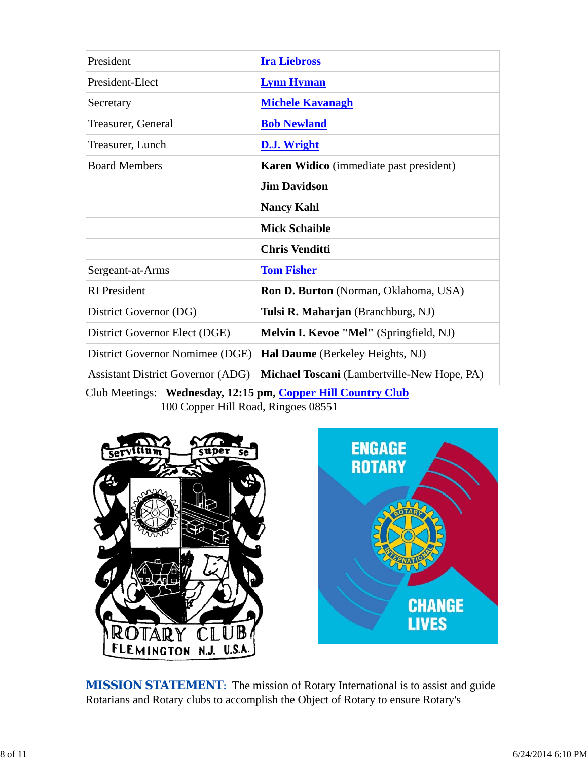| President                                | <b>Ira Liebross</b>                            |  |
|------------------------------------------|------------------------------------------------|--|
| President-Elect                          | <b>Lynn Hyman</b>                              |  |
| Secretary                                | <b>Michele Kavanagh</b>                        |  |
| Treasurer, General                       | <b>Bob Newland</b>                             |  |
| Treasurer, Lunch                         | <b>D.J. Wright</b>                             |  |
| <b>Board Members</b>                     | <b>Karen Widico</b> (immediate past president) |  |
|                                          | <b>Jim Davidson</b>                            |  |
|                                          | <b>Nancy Kahl</b>                              |  |
|                                          | <b>Mick Schaible</b>                           |  |
|                                          | <b>Chris Venditti</b>                          |  |
| Sergeant-at-Arms                         | <b>Tom Fisher</b>                              |  |
| <b>RI</b> President                      | <b>Ron D. Burton</b> (Norman, Oklahoma, USA)   |  |
| District Governor (DG)                   | Tulsi R. Maharjan (Branchburg, NJ)             |  |
| District Governor Elect (DGE)            | Melvin I. Kevoe "Mel" (Springfield, NJ)        |  |
| District Governor Nomimee (DGE)          | Hal Daume (Berkeley Heights, NJ)               |  |
| <b>Assistant District Governor (ADG)</b> | Michael Toscani (Lambertville-New Hope, PA)    |  |

Club Meetings: **Wednesday, 12:15 pm, Copper Hill Country Club** 100 Copper Hill Road, Ringoes 08551



**MISSION STATEMENT:** The mission of Rotary International is to assist and guide Rotarians and Rotary clubs to accomplish the Object of Rotary to ensure Rotary's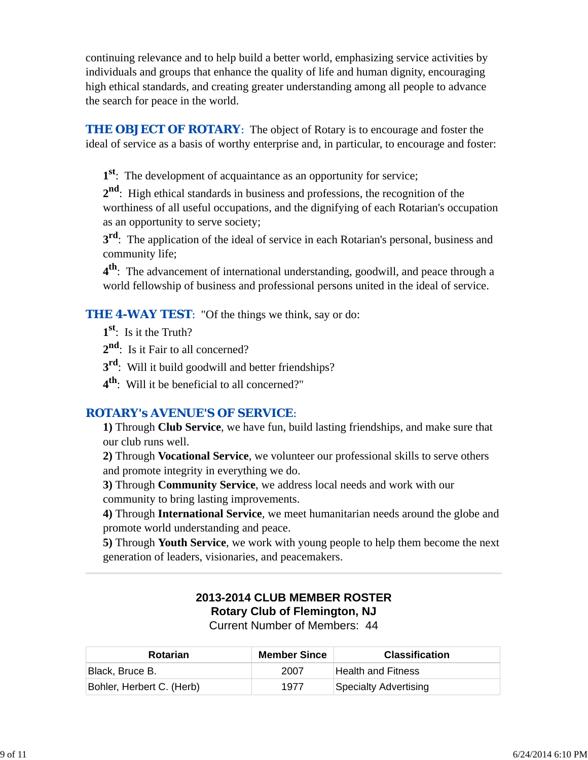continuing relevance and to help build a better world, emphasizing service activities by individuals and groups that enhance the quality of life and human dignity, encouraging high ethical standards, and creating greater understanding among all people to advance the search for peace in the world.

**THE OBJECT OF ROTARY:** The object of Rotary is to encourage and foster the ideal of service as a basis of worthy enterprise and, in particular, to encourage and foster:

**1st**: The development of acquaintance as an opportunity for service;

**2nd**: High ethical standards in business and professions, the recognition of the worthiness of all useful occupations, and the dignifying of each Rotarian's occupation as an opportunity to serve society;

**3<sup>rd</sup>**: The application of the ideal of service in each Rotarian's personal, business and community life;

**4th**: The advancement of international understanding, goodwill, and peace through a world fellowship of business and professional persons united in the ideal of service.

**THE 4-WAY TEST:** "Of the things we think, say or do:

**1st**: Is it the Truth?

2<sup>nd</sup>: Is it Fair to all concerned?

**3rd**: Will it build goodwill and better friendships?

**4th**: Will it be beneficial to all concerned?"

# *ROTARY's AVENUE'S OF SERVICE*:

**1)** Through **Club Service**, we have fun, build lasting friendships, and make sure that our club runs well.

**2)** Through **Vocational Service**, we volunteer our professional skills to serve others and promote integrity in everything we do.

**3)** Through **Community Service**, we address local needs and work with our community to bring lasting improvements.

**4)** Through **International Service**, we meet humanitarian needs around the globe and promote world understanding and peace.

**5)** Through **Youth Service**, we work with young people to help them become the next generation of leaders, visionaries, and peacemakers.

# **2013-2014 CLUB MEMBER ROSTER Rotary Club of Flemington, NJ**

Current Number of Members: 44

| <b>Rotarian</b>           | <b>Member Since</b> | <b>Classification</b> |
|---------------------------|---------------------|-----------------------|
| Black, Bruce B.           | 2007                | Health and Fitness    |
| Bohler, Herbert C. (Herb) | 1977                | Specialty Advertising |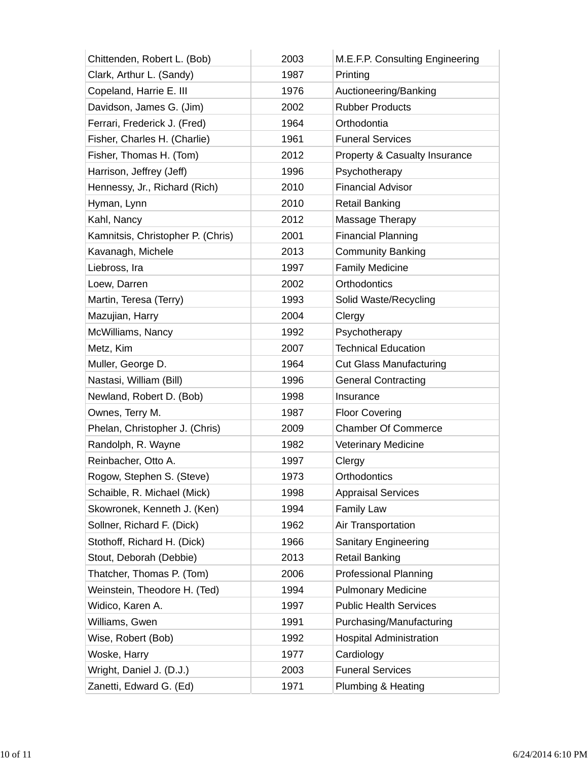| Chittenden, Robert L. (Bob)       | 2003 | M.E.F.P. Consulting Engineering |
|-----------------------------------|------|---------------------------------|
| Clark, Arthur L. (Sandy)          | 1987 | Printing                        |
| Copeland, Harrie E. III           | 1976 | Auctioneering/Banking           |
| Davidson, James G. (Jim)          | 2002 | <b>Rubber Products</b>          |
| Ferrari, Frederick J. (Fred)      | 1964 | Orthodontia                     |
| Fisher, Charles H. (Charlie)      | 1961 | <b>Funeral Services</b>         |
| Fisher, Thomas H. (Tom)           | 2012 | Property & Casualty Insurance   |
| Harrison, Jeffrey (Jeff)          | 1996 | Psychotherapy                   |
| Hennessy, Jr., Richard (Rich)     | 2010 | <b>Financial Advisor</b>        |
| Hyman, Lynn                       | 2010 | <b>Retail Banking</b>           |
| Kahl, Nancy                       | 2012 | Massage Therapy                 |
| Kamnitsis, Christopher P. (Chris) | 2001 | <b>Financial Planning</b>       |
| Kavanagh, Michele                 | 2013 | <b>Community Banking</b>        |
| Liebross, Ira                     | 1997 | <b>Family Medicine</b>          |
| Loew, Darren                      | 2002 | Orthodontics                    |
| Martin, Teresa (Terry)            | 1993 | Solid Waste/Recycling           |
| Mazujian, Harry                   | 2004 | Clergy                          |
| McWilliams, Nancy                 | 1992 | Psychotherapy                   |
| Metz, Kim                         | 2007 | <b>Technical Education</b>      |
| Muller, George D.                 | 1964 | <b>Cut Glass Manufacturing</b>  |
| Nastasi, William (Bill)           | 1996 | <b>General Contracting</b>      |
| Newland, Robert D. (Bob)          | 1998 | Insurance                       |
| Ownes, Terry M.                   | 1987 | <b>Floor Covering</b>           |
| Phelan, Christopher J. (Chris)    | 2009 | <b>Chamber Of Commerce</b>      |
| Randolph, R. Wayne                | 1982 | Veterinary Medicine             |
| Reinbacher, Otto A.               | 1997 | Clergy                          |
| Rogow, Stephen S. (Steve)         | 1973 | Orthodontics                    |
| Schaible, R. Michael (Mick)       | 1998 | <b>Appraisal Services</b>       |
| Skowronek, Kenneth J. (Ken)       | 1994 | Family Law                      |
| Sollner, Richard F. (Dick)        | 1962 | Air Transportation              |
| Stothoff, Richard H. (Dick)       | 1966 | <b>Sanitary Engineering</b>     |
| Stout, Deborah (Debbie)           | 2013 | <b>Retail Banking</b>           |
| Thatcher, Thomas P. (Tom)         | 2006 | <b>Professional Planning</b>    |
| Weinstein, Theodore H. (Ted)      | 1994 | <b>Pulmonary Medicine</b>       |
| Widico, Karen A.                  | 1997 | <b>Public Health Services</b>   |
| Williams, Gwen                    | 1991 | Purchasing/Manufacturing        |
| Wise, Robert (Bob)                | 1992 | <b>Hospital Administration</b>  |
| Woske, Harry                      | 1977 | Cardiology                      |
| Wright, Daniel J. (D.J.)          | 2003 | <b>Funeral Services</b>         |
| Zanetti, Edward G. (Ed)           | 1971 | <b>Plumbing &amp; Heating</b>   |